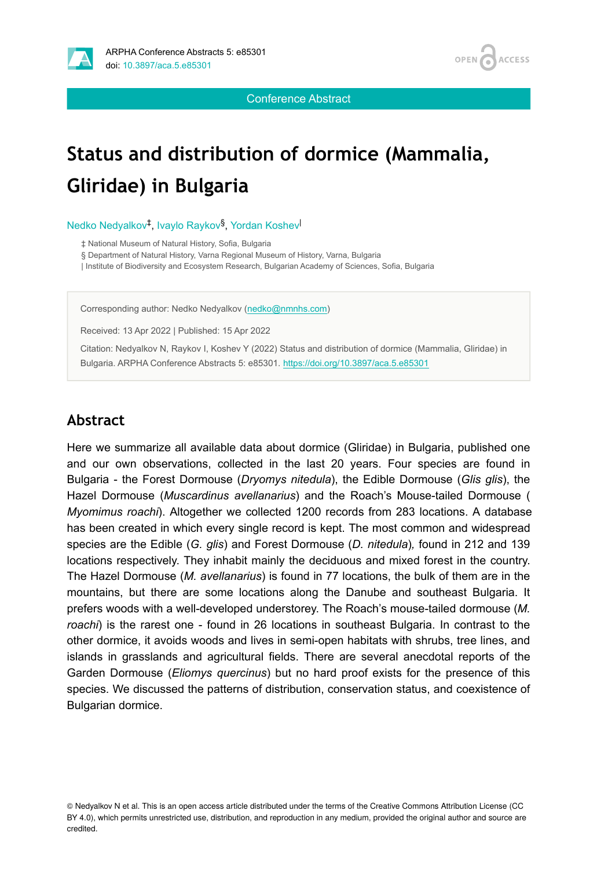



Conference Abstract

## **Status and distribution of dormice (Mammalia, Gliridae) in Bulgaria**

Nedko Nedyalkov<sup>‡</sup>, Ivaylo Raykov<sup>§</sup>, Yordan Koshev

‡ National Museum of Natural History, Sofia, Bulgaria

§ Department of Natural History, Varna Regional Museum of History, Varna, Bulgaria

| Institute of Biodiversity and Ecosystem Research, Bulgarian Academy of Sciences, Sofia, Bulgaria

Corresponding author: Nedko Nedyalkov ([nedko@nmnhs.com](mailto:nedko@nmnhs.com))

Received: 13 Apr 2022 | Published: 15 Apr 2022

Citation: Nedyalkov N, Raykov I, Koshev Y (2022) Status and distribution of dormice (Mammalia, Gliridae) in Bulgaria. ARPHA Conference Abstracts 5: e85301. <https://doi.org/10.3897/aca.5.e85301>

## **Abstract**

Here we summarize all available data about dormice (Gliridae) in Bulgaria, published one and our own observations, collected in the last 20 years. Four species are found in Bulgaria - the Forest Dormouse (*Dryomys nitedula*), the Edible Dormouse (*Glis glis*), the Hazel Dormouse (*Muscardinus avellanarius*) and the Roach's Mouse-tailed Dormouse ( *Myomimus roachi*). Altogether we collected 1200 records from 283 locations. A database has been created in which every single record is kept. The most common and widespread species are the Edible (*G. glis*) and Forest Dormouse (*D. nitedula*)*,* found in 212 and 139 locations respectively. They inhabit mainly the deciduous and mixed forest in the country. The Hazel Dormouse (*M. avellanarius*) is found in 77 locations, the bulk of them are in the mountains, but there are some locations along the Danube and southeast Bulgaria. It prefers woods with a well-developed understorey. The Roach's mouse-tailed dormouse (*M. roachi*) is the rarest one - found in 26 locations in southeast Bulgaria. In contrast to the other dormice, it avoids woods and lives in semi-open habitats with shrubs, tree lines, and islands in grasslands and agricultural fields. There are several anecdotal reports of the Garden Dormouse (*Eliomys quercinus*) but no hard proof exists for the presence of this species. We discussed the patterns of distribution, conservation status, and coexistence of Bulgarian dormice.

© Nedyalkov N et al. This is an open access article distributed under the terms of the Creative Commons Attribution License (CC BY 4.0), which permits unrestricted use, distribution, and reproduction in any medium, provided the original author and source are credited.